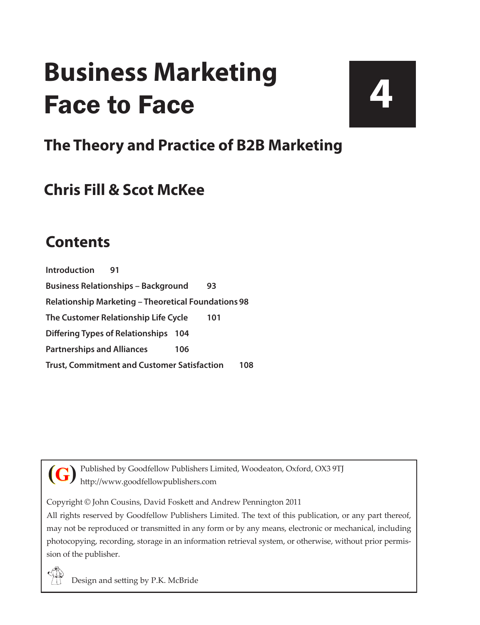# **Business Marketing** Face to Face

**4**

# **The Theory and Practice of B2B Marketing**

# **Chris Fill & Scot McKee**

### **Contents**

**[Introduction](#page--1-0) 91 [Business Relationships – Background](#page--1-0) 93 [Relationship Marketing – Theoretical Foundations](#page--1-0) 98 [The Customer Relationship Life Cycle](#page--1-0) 101 [Differing Types of Relationships](#page--1-0) 104 [Partnerships and Alliances](#page--1-0) 106 [Trust, Commitment and Customer Satisfaction](#page--1-0) 108**



Published by Goodfellow Publishers Limited, Woodeaton, Oxford, OX3 9TJ http://www.goodfellowpublishers.com

Copyright © John Cousins, David Foskett and Andrew Pennington 2011

All rights reserved by Goodfellow Publishers Limited. The text of this publication, or any part thereof, may not be reproduced or transmitted in any form or by any means, electronic or mechanical, including photocopying, recording, storage in an information retrieval system, or otherwise, without prior permission of the publisher.



Design and setting by P.K. McBride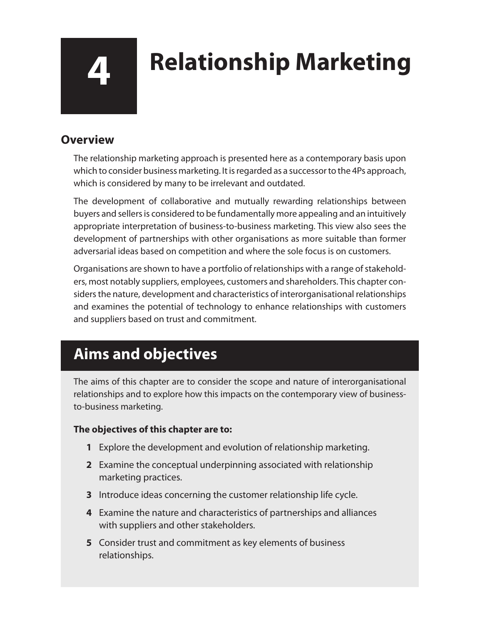# **4 Relationship Marketing**

### **Overview**

The relationship marketing approach is presented here as a contemporary basis upon which to consider business marketing. It is regarded as a successor to the 4Ps approach, which is considered by many to be irrelevant and outdated.

The development of collaborative and mutually rewarding relationships between buyers and sellers is considered to be fundamentally more appealing and an intuitively appropriate interpretation of business-to-business marketing. This view also sees the development of partnerships with other organisations as more suitable than former adversarial ideas based on competition and where the sole focus is on customers.

Organisations are shown to have a portfolio of relationships with a range of stakeholders, most notably suppliers, employees, customers and shareholders. This chapter considers the nature, development and characteristics of interorganisational relationships and examines the potential of technology to enhance relationships with customers and suppliers based on trust and commitment.

# **Aims and objectives**

The aims of this chapter are to consider the scope and nature of interorganisational relationships and to explore how this impacts on the contemporary view of businessto-business marketing.

#### **The objectives of this chapter are to:**

- **1** Explore the development and evolution of relationship marketing.
- **2** Examine the conceptual underpinning associated with relationship marketing practices.
- **3** Introduce ideas concerning the customer relationship life cycle.
- **4** Examine the nature and characteristics of partnerships and alliances with suppliers and other stakeholders.
- **5** Consider trust and commitment as key elements of business relationships.